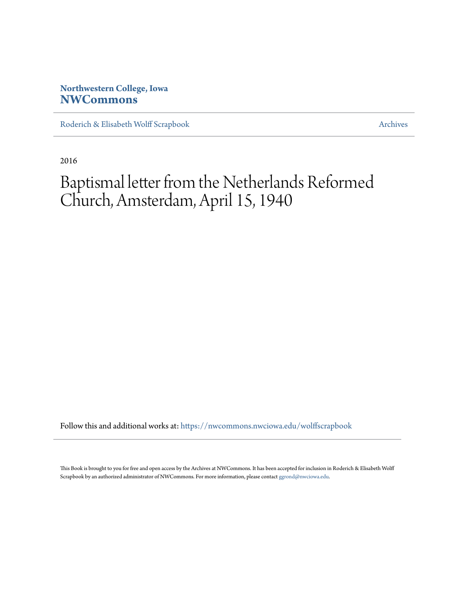## **Northwestern College, Iowa [NWCommons](https://nwcommons.nwciowa.edu?utm_source=nwcommons.nwciowa.edu%2Fwolffscrapbook%2F29&utm_medium=PDF&utm_campaign=PDFCoverPages)**

[Roderich & Elisabeth Wolff Scrapbook](https://nwcommons.nwciowa.edu/wolffscrapbook?utm_source=nwcommons.nwciowa.edu%2Fwolffscrapbook%2F29&utm_medium=PDF&utm_campaign=PDFCoverPages) [Archives](https://nwcommons.nwciowa.edu/archives?utm_source=nwcommons.nwciowa.edu%2Fwolffscrapbook%2F29&utm_medium=PDF&utm_campaign=PDFCoverPages)

2016

# Baptismal letter from the Netherlands Reformed Church, Amsterdam, April 15, 1940

Follow this and additional works at: [https://nwcommons.nwciowa.edu/wolffscrapbook](https://nwcommons.nwciowa.edu/wolffscrapbook?utm_source=nwcommons.nwciowa.edu%2Fwolffscrapbook%2F29&utm_medium=PDF&utm_campaign=PDFCoverPages)

This Book is brought to you for free and open access by the Archives at NWCommons. It has been accepted for inclusion in Roderich & Elisabeth Wolff Scrapbook by an authorized administrator of NWCommons. For more information, please contact [ggrond@nwciowa.edu.](mailto:ggrond@nwciowa.edu)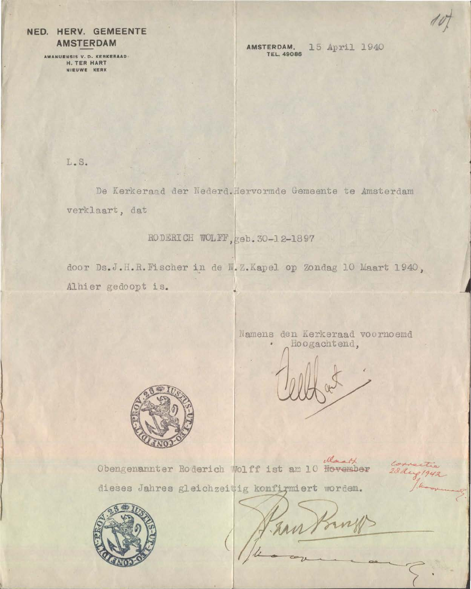### NED. HERV. GEMEENTE **AMSTERDAM**

AMANUENSIS V. D. KERKERAAD.<br>H. TER HART NIEUWE KERK

AMSTERDAM. 15 April 1940 **TEL. 49086** 

L.S.

De Kerkeraad der Nederd. Hervormde Gemeente te Amsterdam verklaart, dat

RODERICH WOLFF, geb. 30-12-1897

door Ds.J.H.R.Fischer in de N.Z.Kapel op Zondag 10 Maart 1940, Alhier gedoopt is.

> Namens den Kerkeraad voornoemd Hoogachtend,



March Obengenannter Roderich Wolff ist am 10 November

1942

dieses Jahres gleichzeitig konfirmiert worden.



han